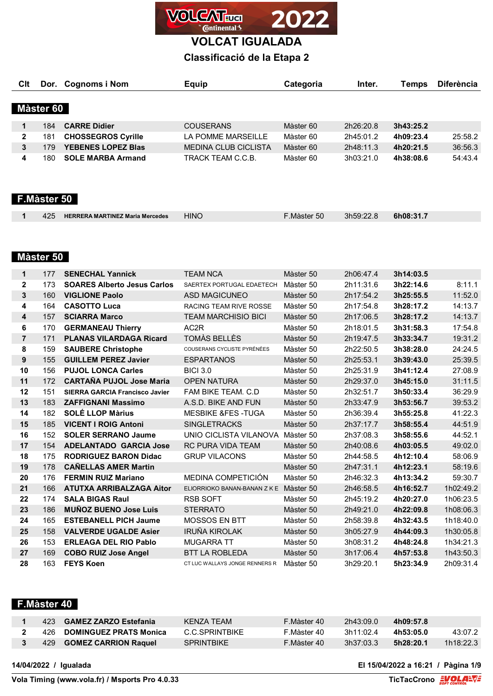

## **Classificació de la Etapa 2**

| Màster 60                                                              |           |           |           |         |
|------------------------------------------------------------------------|-----------|-----------|-----------|---------|
| <b>CARRE Didier</b><br><b>COUSERANS</b><br>1<br>184                    | Màster 60 | 2h26:20.8 | 3h43:25.2 |         |
| <b>CHOSSEGROS Cyrille</b><br>LA POMME MARSEILLE<br>$\mathbf{2}$<br>181 | Màster 60 | 2h45:01.2 | 4h09:23.4 | 25:58.2 |
| <b>YEBENES LOPEZ Blas</b><br>3<br>179<br><b>MEDINA CLUB CICLISTA</b>   | Màster 60 | 2h48:11.3 | 4h20:21.5 | 36:56.3 |
| <b>SOLE MARBA Armand</b><br>TRACK TEAM C.C.B.<br>4<br>180              | Màster 60 | 3h03:21.0 | 4h38:08.6 | 54:43.4 |
|                                                                        |           |           |           |         |
|                                                                        |           |           |           |         |
| F.Màster 50                                                            |           |           |           |         |

|  | 425 | <b>HERRERA MARTINEZ Maria Mercedes</b> | <b>HINC</b> | F.Màster 50 | 3h59:22.8 | 6h08:31.7 |  |
|--|-----|----------------------------------------|-------------|-------------|-----------|-----------|--|
|--|-----|----------------------------------------|-------------|-------------|-----------|-----------|--|

### **Màster 50**

| 1              | 177 | <b>SENECHAL Yannick</b>               | <b>TEAM NCA</b>                    | Màster 50 | 2h06:47.4 | 3h14:03.5 |           |
|----------------|-----|---------------------------------------|------------------------------------|-----------|-----------|-----------|-----------|
| $\mathbf{2}$   | 173 | <b>SOARES Alberto Jesus Carlos</b>    | SAERTEX PORTUGAL EDAETECH          | Màster 50 | 2h11:31.6 | 3h22:14.6 | 8:11.1    |
| 3              | 160 | <b>VIGLIONE Paolo</b>                 | ASD MAGICUNEO                      | Màster 50 | 2h17:54.2 | 3h25:55.5 | 11:52.0   |
| 4              | 164 | <b>CASOTTO Luca</b>                   | <b>RACING TEAM RIVE ROSSE</b>      | Màster 50 | 2h17:54.8 | 3h28:17.2 | 14:13.7   |
| 4              | 157 | <b>SCIARRA Marco</b>                  | <b>TEAM MARCHISIO BICI</b>         | Màster 50 | 2h17:06.5 | 3h28:17.2 | 14:13.7   |
| 6              | 170 | <b>GERMANEAU Thierry</b>              | AC <sub>2</sub> R                  | Màster 50 | 2h18:01.5 | 3h31:58.3 | 17:54.8   |
| $\overline{7}$ | 171 | <b>PLANAS VILARDAGA Ricard</b>        | TOMÀS BELLÈS                       | Màster 50 | 2h19:47.5 | 3h33:34.7 | 19:31.2   |
| 8              | 159 | <b>SAUBERE Christophe</b>             | <b>COUSERANS CYCLISTE PYRÉNÉES</b> | Màster 50 | 2h22:50.5 | 3h38:28.0 | 24:24.5   |
| 9              | 155 | <b>GUILLEM PEREZ Javier</b>           | <b>ESPARTANOS</b>                  | Màster 50 | 2h25:53.1 | 3h39:43.0 | 25:39.5   |
| 10             | 156 | <b>PUJOL LONCA Carles</b>             | <b>BICI 3.0</b>                    | Màster 50 | 2h25:31.9 | 3h41:12.4 | 27:08.9   |
| 11             | 172 | <b>CARTAÑA PUJOL Jose Maria</b>       | <b>OPEN NATURA</b>                 | Màster 50 | 2h29:37.0 | 3h45:15.0 | 31:11.5   |
| 12             | 151 | <b>SIERRA GARCIA Francisco Javier</b> | FAM BIKE TEAM, C.D.                | Màster 50 | 2h32:51.7 | 3h50:33.4 | 36:29.9   |
| 13             | 183 | <b>ZAFFIGNANI Massimo</b>             | A.S.D. BIKE AND FUN                | Màster 50 | 2h33:47.9 | 3h53:56.7 | 39:53.2   |
| 14             | 182 | <b>SOLÉ LLOP Màrius</b>               | <b>MESBIKE &amp;FES-TUGA</b>       | Màster 50 | 2h36:39.4 | 3h55:25.8 | 41:22.3   |
| 15             | 185 | <b>VICENT I ROIG Antoni</b>           | <b>SINGLETRACKS</b>                | Màster 50 | 2h37:17.7 | 3h58:55.4 | 44:51.9   |
| 16             | 152 | <b>SOLER SERRANO Jaume</b>            | UNIO CICLISTA VILANOVA             | Màster 50 | 2h37:08.3 | 3h58:55.6 | 44:52.1   |
| 17             | 154 | <b>ADELANTADO GARCIA Jose</b>         | <b>RC PURA VIDA TEAM</b>           | Màster 50 | 2h40:08.6 | 4h03:05.5 | 49:02.0   |
| 18             | 175 | <b>RODRIGUEZ BARON Didac</b>          | <b>GRUP VILACONS</b>               | Màster 50 | 2h44:58.5 | 4h12:10.4 | 58:06.9   |
| 19             | 178 | <b>CAÑELLAS AMER Martin</b>           |                                    | Màster 50 | 2h47:31.1 | 4h12:23.1 | 58:19.6   |
| 20             | 176 | <b>FERMIN RUIZ Mariano</b>            | MEDINA COMPETICIÓN                 | Màster 50 | 2h46:32.3 | 4h13:34.2 | 59:30.7   |
| 21             | 166 | <b>ATUTXA ARRIBALZAGA Aitor</b>       | ELIORRIOKO BANAN-BANAN Z K E       | Màster 50 | 2h46:58.5 | 4h16:52.7 | 1h02:49.2 |
| 22             | 174 | <b>SALA BIGAS Raul</b>                | <b>RSB SOFT</b>                    | Màster 50 | 2h45:19.2 | 4h20:27.0 | 1h06:23.5 |
| 23             | 186 | <b>MUNOZ BUENO Jose Luis</b>          | <b>STERRATO</b>                    | Màster 50 | 2h49:21.0 | 4h22:09.8 | 1h08:06.3 |
| 24             | 165 | <b>ESTEBANELL PICH Jaume</b>          | <b>MOSSOS EN BTT</b>               | Màster 50 | 2h58:39.8 | 4h32:43.5 | 1h18:40.0 |
| 25             | 158 | <b>VALVERDE UGALDE Asier</b>          | <b>IRUÑA KIROLAK</b>               | Màster 50 | 3h05:27.9 | 4h44:09.3 | 1h30:05.8 |
| 26             | 153 | <b>ERLEAGA DEL RIO Pablo</b>          | <b>MUGARRA TT</b>                  | Màster 50 | 3h08:31.2 | 4h48:24.8 | 1h34:21.3 |
| 27             | 169 | <b>COBO RUIZ Jose Angel</b>           | <b>BTT LA ROBLEDA</b>              | Màster 50 | 3h17:06.4 | 4h57:53.8 | 1h43:50.3 |
| 28             | 163 | <b>FEYS Koen</b>                      | CT LUC WALLAYS JONGE RENNERS R     | Màster 50 | 3h29:20.1 | 5h23:34.9 | 2h09:31.4 |

# **F.Màster 40**

| 423 | <b>GAMEZ ZARZO Estefania</b> | KFNZA TFAM        | F.Màster 40 | 2h43:09.0 | 4h09:57.8 |           |
|-----|------------------------------|-------------------|-------------|-----------|-----------|-----------|
|     | 426 DOMINGUEZ PRATS Monica   | C.C.SPRINTBIKE    | F.Màster 40 | 3h11:02.4 | 4h53:05.0 | 43:07.2   |
| 429 | <b>GOMEZ CARRION Raquel</b>  | <b>SPRINTBIKE</b> | F.Màster 40 | 3h37:03.3 | 5h28:20.1 | 1h18:22.3 |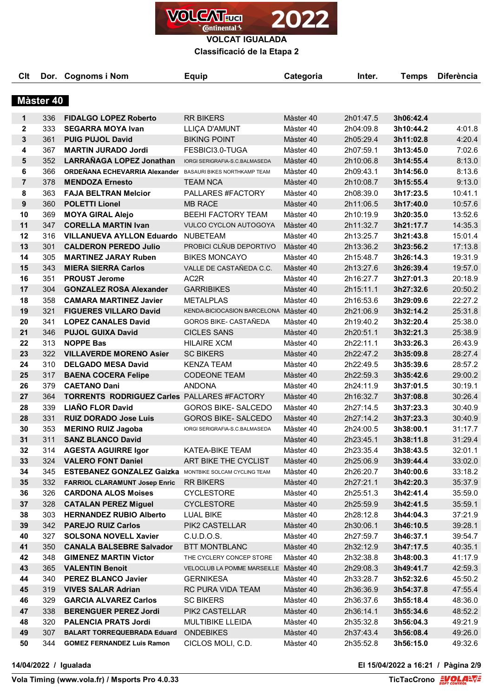

**Classificació de la Etapa 2**

| Clt            |           | Dor. Cognoms i Nom                                            | <b>Equip</b>                          | Categoria | Inter.    | <b>Temps</b> | <b>Diferència</b> |
|----------------|-----------|---------------------------------------------------------------|---------------------------------------|-----------|-----------|--------------|-------------------|
|                | Màster 40 |                                                               |                                       |           |           |              |                   |
|                |           |                                                               |                                       |           |           |              |                   |
| 1              | 336       | <b>FIDALGO LOPEZ Roberto</b>                                  | <b>RR BIKERS</b>                      | Màster 40 | 2h01:47.5 | 3h06:42.4    |                   |
| $\mathbf{2}$   | 333       | <b>SEGARRA MOYA Ivan</b>                                      | LLIÇA D'AMUNT                         | Màster 40 | 2h04:09.8 | 3h10:44.2    | 4:01.8            |
| $\mathbf{3}$   | 361       | <b>PUIG PUJOL David</b>                                       | <b>BIKING POINT</b>                   | Màster 40 | 2h05:29.4 | 3h11:02.8    | 4:20.4            |
| 4              | 367       | <b>MARTIN JURADO Jordi</b>                                    | FESBICI3.0-TUGA                       | Màster 40 | 2h07:59.1 | 3h13:45.0    | 7:02.6            |
| 5              | 352       | LARRAÑAGA LOPEZ Jonathan                                      | IORGI SERIGRAFIA-S.C.BALMASEDA        | Màster 40 | 2h10:06.8 | 3h14:55.4    | 8:13.0            |
| 6              | 366       | ORDEÑANA ECHEVARRIA Alexander                                 | <b>BASAURI BIKES NORTHKAMP TEAM</b>   | Màster 40 | 2h09:43.1 | 3h14:56.0    | 8:13.6            |
| $\overline{7}$ | 378       | <b>MENDOZA Ernesto</b>                                        | <b>TEAM NCA</b>                       | Màster 40 | 2h10:08.7 | 3h15:55.4    | 9:13.0            |
| 8              | 363       | <b>FAJA BELTRAN Melcior</b>                                   | PALLARES #FACTORY                     | Màster 40 | 2h08:39.0 | 3h17:23.5    | 10:41.1           |
| 9              | 360       | <b>POLETTI Lionel</b>                                         | <b>MB RACE</b>                        | Màster 40 | 2h11:06.5 | 3h17:40.0    | 10:57.6           |
| 10             | 369       | <b>MOYA GIRAL Alejo</b>                                       | <b>BEEHI FACTORY TEAM</b>             | Màster 40 | 2h10:19.9 | 3h20:35.0    | 13:52.6           |
| 11             | 347       | <b>CORELLA MARTIN Ivan</b>                                    | <b>VULCO CYCLON AUTOGOYA</b>          | Màster 40 | 2h11:32.7 | 3h21:17.7    | 14:35.3           |
| 12             | 316       | <b>VILLANUEVA AYLLON Eduardo</b>                              | <b>NUBETEAM</b>                       | Màster 40 | 2h13:25.7 | 3h21:43.8    | 15:01.4           |
| 13             | 301       | <b>CALDERON PEREDO Julio</b>                                  | PROBICI CLÑUB DEPORTIVO               | Màster 40 | 2h13:36.2 | 3h23:56.2    | 17:13.8           |
| 14             | 305       | <b>MARTINEZ JARAY Ruben</b>                                   | <b>BIKES MONCAYO</b>                  | Màster 40 | 2h15:48.7 | 3h26:14.3    | 19:31.9           |
| 15             | 343       | <b>MIERA SIERRA Carlos</b>                                    | VALLE DE CASTAÑEDA C.C.               | Màster 40 | 2h13:27.6 | 3h26:39.4    | 19:57.0           |
| 16             | 351       | <b>PROUST Jerome</b>                                          | AC <sub>2</sub> R                     | Màster 40 | 2h16:27.7 | 3h27:01.3    | 20:18.9           |
| 17             | 304       | <b>GONZALEZ ROSA Alexander</b>                                | <b>GARRIBIKES</b>                     | Màster 40 | 2h15:11.1 | 3h27:32.6    | 20:50.2           |
| 18             | 358       | <b>CAMARA MARTINEZ Javier</b>                                 | <b>METALPLAS</b>                      | Màster 40 | 2h16:53.6 | 3h29:09.6    | 22:27.2           |
| 19             | 321       | <b>FIGUERES VILLARO David</b>                                 | KENDA-BICIOCASION BARCELONA Màster 40 |           | 2h21:06.9 | 3h32:14.2    | 25:31.8           |
| 20             | 341       | <b>LOPEZ CANALES David</b>                                    | GOROS BIKE- CASTAÑEDA                 | Màster 40 | 2h19:40.2 | 3h32:20.4    | 25:38.0           |
| 21             | 346       | <b>PUJOL GUIXA David</b>                                      | <b>CICLES SANS</b>                    | Màster 40 | 2h20:51.1 | 3h32:21.3    | 25:38.9           |
| 22             | 313       | <b>NOPPE Bas</b>                                              | <b>HILAIRE XCM</b>                    | Màster 40 | 2h22:11.1 | 3h33:26.3    | 26:43.9           |
| 23             | 322       | <b>VILLAVERDE MORENO Asier</b>                                | <b>SC BIKERS</b>                      | Màster 40 | 2h22:47.2 | 3h35:09.8    | 28:27.4           |
| 24             | 310       | <b>DELGADO MESA David</b>                                     | KENZA TEAM                            | Màster 40 | 2h22:49.5 | 3h35:39.6    | 28:57.2           |
| 25             | 317       | <b>BAENA COCERA Felipe</b>                                    | <b>CODEONE TEAM</b>                   | Màster 40 | 2h22:59.3 | 3h35:42.6    | 29:00.2           |
| 26             | 379       | <b>CAETANO Dani</b>                                           | <b>ANDONA</b>                         | Màster 40 | 2h24:11.9 | 3h37:01.5    | 30:19.1           |
| 27             | 364       | <b>TORRENTS RODRIGUEZ Carles PALLARES #FACTORY</b>            |                                       | Màster 40 | 2h16:32.7 | 3h37:08.8    | 30:26.4           |
| 28             | 339       | <b>LIAÑO FLOR David</b>                                       | <b>GOROS BIKE- SALCEDO</b>            | Màster 40 | 2h27:14.5 | 3h37:23.3    | 30:40.9           |
| 28             | 331       | <b>RUIZ DORADO Jose Luis</b>                                  | <b>GOROS BIKE- SALCEDO</b>            | Màster 40 | 2h27:14.2 | 3h37:23.3    | 30:40.9           |
| 30             | 353       | <b>MERINO RUIZ Jagoba</b>                                     | IORGI SERIGRAFIA-S.C.BALMASEDA        | Màster 40 | 2h24:00.5 | 3h38:00.1    | 31:17.7           |
| 31             | 311       | <b>SANZ BLANCO David</b>                                      |                                       | Màster 40 | 2h23:45.1 | 3h38:11.8    | 31:29.4           |
| 32             | 314       | <b>AGESTA AGUIRRE Igor</b>                                    | KATEA-BIKE TEAM                       | Màster 40 | 2h23:35.4 | 3h38:43.5    | 32:01.1           |
| 33             | 324       | <b>VALERO FONT Daniel</b>                                     | ART BIKE THE CYCLIST                  | Màster 40 | 2h25:06.9 | 3h39:44.4    | 33:02.0           |
| 34             | 345       | <b>ESTEBANEZ GONZALEZ Gaizka</b> MONTBIKE SOLCAM CYCLING TEAM |                                       | Màster 40 | 2h26:20.7 | 3h40:00.6    | 33:18.2           |
| 35             | 332       | <b>FARRIOL CLARAMUNT Josep Enric</b>                          | <b>RR BIKERS</b>                      | Màster 40 | 2h27:21.1 | 3h42:20.3    | 35:37.9           |
| 36             | 326       | <b>CARDONA ALOS Moises</b>                                    | <b>CYCLESTORE</b>                     | Màster 40 | 2h25:51.3 | 3h42:41.4    | 35:59.0           |
| 37             | 328       | <b>CATALAN PEREZ Miguel</b>                                   | <b>CYCLESTORE</b>                     | Màster 40 | 2h25:59.9 | 3h42:41.5    | 35:59.1           |
| 38             | 303       | <b>HERNANDEZ RUBIO Alberto</b>                                | <b>LUAL BIKE</b>                      | Màster 40 | 2h28:12.8 | 3h44:04.3    | 37:21.9           |
| 39             | 342       | <b>PAREJO RUIZ Carlos</b>                                     | PIK2 CASTELLAR                        | Màster 40 | 2h30:06.1 | 3h46:10.5    | 39:28.1           |
| 40             | 327       | <b>SOLSONA NOVELL Xavier</b>                                  | C.U.D.O.S.                            | Màster 40 | 2h27:59.7 | 3h46:37.1    | 39:54.7           |
| 41             | 350       | <b>CANALA BALSEBRE Salvador</b>                               | BTT MONTBLANC                         | Màster 40 | 2h32:12.9 | 3h47:17.5    | 40:35.1           |
| 42             | 348       | <b>GIMENEZ MARTIN Victor</b>                                  | THE CYCLERY CONCEP STORE              | Màster 40 | 2h32:38.8 | 3h48:00.3    | 41:17.9           |
| 43             | 365       | <b>VALENTIN Benoit</b>                                        | VELOCLUB LA POMME MARSEILLE Màster 40 |           | 2h29:08.3 | 3h49:41.7    | 42:59.3           |
| 44             | 340       | <b>PEREZ BLANCO Javier</b>                                    | <b>GERNIKESA</b>                      | Màster 40 | 2h33:28.7 | 3h52:32.6    | 45:50.2           |
| 45             | 319       | <b>VIVES SALAR Adrian</b>                                     | RC PURA VIDA TEAM                     | Màster 40 | 2h36:36.9 | 3h54:37.8    | 47:55.4           |
| 46             | 329       | <b>GARCIA ALVAREZ Carlos</b>                                  | <b>SC BIKERS</b>                      | Màster 40 | 2h36:37.6 | 3h55:18.4    | 48:36.0           |
| 47             | 338       | <b>BERENGUER PEREZ Jordi</b>                                  | PIK2 CASTELLAR                        | Màster 40 | 2h36:14.1 | 3h55:34.6    | 48:52.2           |
| 48             | 320       | <b>PALENCIA PRATS Jordi</b>                                   | MULTIBIKE LLEIDA                      | Màster 40 | 2h35:32.8 | 3h56:04.3    | 49:21.9           |
| 49             | 307       | <b>BALART TORREQUEBRADA Eduard</b>                            | <b>ONDEBIKES</b>                      | Màster 40 | 2h37:43.4 | 3h56:08.4    | 49:26.0           |
| 50             | 344       | <b>GOMEZ FERNANDEZ Luis Ramon</b>                             | CICLOS MOLI, C.D.                     | Màster 40 | 2h35:52.8 | 3h56:15.0    | 49:32.6           |

**14/04/2022 / Igualada El 15/04/2022 a 16:21 / Pàgina 2/9**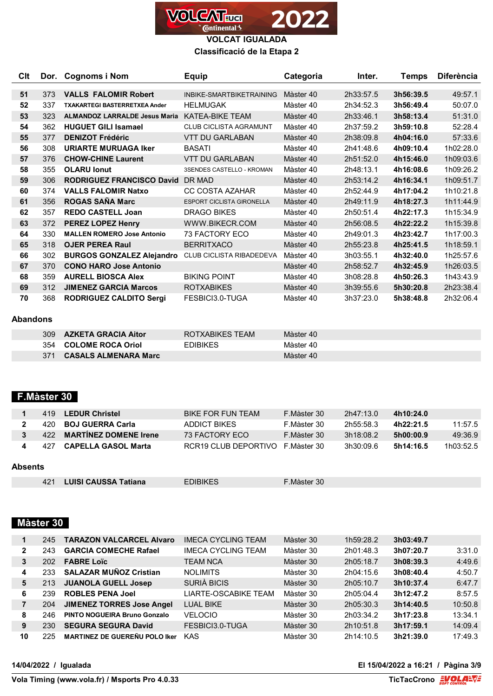

**VOLCAT IGUALADA Classificació de la Etapa 2**

| Clt |     | Dor. Cognoms i Nom                   | <b>Equip</b>                     | Categoria | Inter.    | Temps     | <b>Diferència</b> |
|-----|-----|--------------------------------------|----------------------------------|-----------|-----------|-----------|-------------------|
| 51  | 373 | <b>VALLS FALOMIR Robert</b>          | INBIKE-SMARTBIKETRAINING         | Màster 40 | 2h33:57.5 | 3h56:39.5 | 49:57.1           |
| 52  | 337 | TXAKARTEGI BASTERRETXEA Ander        | <b>HELMUGAK</b>                  | Màster 40 | 2h34:52.3 | 3h56:49.4 | 50:07.0           |
| 53  | 323 | <b>ALMANDOZ LARRALDE Jesus Maria</b> | <b>KATEA-BIKE TEAM</b>           | Màster 40 | 2h33:46.1 | 3h58:13.4 | 51:31.0           |
| 54  | 362 | <b>HUGUET GILI Isamael</b>           | <b>CLUB CICLISTA AGRAMUNT</b>    | Màster 40 | 2h37:59.2 | 3h59:10.8 | 52:28.4           |
| 55  | 377 | <b>DENIZOT Frédéric</b>              | <b>VTT DU GARLABAN</b>           | Màster 40 | 2h38:09.8 | 4h04:16.0 | 57:33.6           |
| 56  | 308 | <b>URIARTE MURUAGA Iker</b>          | <b>BASATI</b>                    | Màster 40 | 2h41:48.6 | 4h09:10.4 | 1h02:28.0         |
| 57  | 376 | <b>CHOW-CHINE Laurent</b>            | <b>VTT DU GARLABAN</b>           | Màster 40 | 2h51:52.0 | 4h15:46.0 | 1h09:03.6         |
| 58  | 355 | <b>OLARU lonut</b>                   | <b>3SENDES CASTELLO - KROMAN</b> | Màster 40 | 2h48:13.1 | 4h16:08.6 | 1h09:26.2         |
| 59  | 306 | <b>RODRIGUEZ FRANCISCO David</b>     | DR MAD                           | Màster 40 | 2h53:14.2 | 4h16:34.1 | 1h09:51.7         |
| 60  | 374 | <b>VALLS FALOMIR Natxo</b>           | CC COSTA AZAHAR                  | Màster 40 | 2h52:44.9 | 4h17:04.2 | 1h10:21.8         |
| 61  | 356 | <b>ROGAS SAÑA Marc</b>               | <b>ESPORT CICLISTA GIRONELLA</b> | Màster 40 | 2h49:11.9 | 4h18:27.3 | 1h11:44.9         |
| 62  | 357 | <b>REDO CASTELL Joan</b>             | <b>DRAGO BIKES</b>               | Màster 40 | 2h50:51.4 | 4h22:17.3 | 1h15:34.9         |
| 63  | 372 | <b>PEREZ LOPEZ Henry</b>             | WWW.BIKECR.COM                   | Màster 40 | 2h56:08.5 | 4h22:22.2 | 1h15:39.8         |
| 64  | 330 | <b>MALLEN ROMERO Jose Antonio</b>    | 73 FACTORY ECO                   | Màster 40 | 2h49:01.3 | 4h23:42.7 | 1h17:00.3         |
| 65  | 318 | <b>OJER PEREA Raul</b>               | <b>BERRITXACO</b>                | Màster 40 | 2h55:23.8 | 4h25:41.5 | 1h18:59.1         |
| 66  | 302 | <b>BURGOS GONZALEZ Alejandro</b>     | <b>CLUB CICLISTA RIBADEDEVA</b>  | Màster 40 | 3h03:55.1 | 4h32:40.0 | 1h25:57.6         |
| 67  | 370 | <b>CONO HARO Jose Antonio</b>        |                                  | Màster 40 | 2h58:52.7 | 4h32:45.9 | 1h26:03.5         |
| 68  | 359 | <b>AURELL BIOSCA Alex</b>            | <b>BIKING POINT</b>              | Màster 40 | 3h08:28.8 | 4h50:26.3 | 1h43:43.9         |
| 69  | 312 | <b>JIMENEZ GARCIA Marcos</b>         | <b>ROTXABIKES</b>                | Màster 40 | 3h39:55.6 | 5h30:20.8 | 2h23:38.4         |
| 70  | 368 | <b>RODRIGUEZ CALDITO Sergi</b>       | FESBICI3.0-TUGA                  | Màster 40 | 3h37:23.0 | 5h38:48.8 | 2h32:06.4         |

### **Abandons**

| 309 | AZKETA GRACIA Aitor         | ROTXABIKES TEAM | Màster 40 |
|-----|-----------------------------|-----------------|-----------|
|     | 354 COLOME ROCA Oriol       | <b>FDIBIKES</b> | Màster 40 |
|     | <b>CASALS ALMENARA Marc</b> |                 | Màster 40 |

# **F.Màster 30**

| 419  | <b>LEDUR Christel</b>        | BIKE FOR FUN TFAM                 | F.Màster 30 | 2h47:13.0 | 4h10:24.0 |           |
|------|------------------------------|-----------------------------------|-------------|-----------|-----------|-----------|
| 420. | <b>BOJ GUERRA Carla</b>      | ADDICT BIKES                      | F.Màster 30 | 2h55:58.3 | 4h22:21.5 | 11:57.5   |
| 422  | <b>MARTINEZ DOMENE Irene</b> | 73 FACTORY FCO                    | F.Màster 30 | 3h18:08.2 | 5h00:00.9 | 49:36.9   |
| 427  | CAPELLA GASOL Marta          | RCR19 CLUB DEPORTIVO F. Màster 30 |             | 3h30:09.6 | 5h14:16.5 | 1h03:52.5 |
|      |                              |                                   |             |           |           |           |

#### **Absents**

| 42 <sup>1</sup> | ШC<br><b>BAILEON</b><br>Tatiana<br>11 SSV<br>$\cdots$<br>. | $\mathbf{r}$<br>. | -30<br>"Mər<br>.<br>751 GI |  |
|-----------------|------------------------------------------------------------|-------------------|----------------------------|--|
|                 |                                                            |                   |                            |  |

## **Màster 30**

|                | 245 | <b>TARAZON VALCARCEL Alvaro</b>      | IMECA CYCLING TEAM          | Màster 30 | 1h59:28.2 | 3h03:49.7 |         |
|----------------|-----|--------------------------------------|-----------------------------|-----------|-----------|-----------|---------|
| $\mathbf{2}$   | 243 | <b>GARCIA COMECHE Rafael</b>         | <b>IMECA CYCLING TEAM</b>   | Màster 30 | 2h01:48.3 | 3h07:20.7 | 3:31.0  |
| 3              | 202 | <b>FABRE Loïc</b>                    | TEAM NCA                    | Màster 30 | 2h05:18.7 | 3h08:39.3 | 4:49.6  |
| 4              | 233 | <b>SALAZAR MUÑOZ Cristian</b>        | <b>NOLIMITS</b>             | Màster 30 | 2h04:15.6 | 3h08:40.4 | 4:50.7  |
| 5              | 213 | <b>JUANOLA GUELL Josep</b>           | SURIÀ BICIS                 | Màster 30 | 2h05:10.7 | 3h10:37.4 | 6:47.7  |
| 6              | 239 | <b>ROBLES PENA Joel</b>              | <b>LIARTE-OSCABIKE TEAM</b> | Màster 30 | 2h05:04.4 | 3h12:47.2 | 8:57.5  |
| $\overline{7}$ | 204 | <b>JIMENEZ TORRES Jose Angel</b>     | <b>LUAL BIKE</b>            | Màster 30 | 2h05:30.3 | 3h14:40.5 | 10:50.8 |
| 8              | 246 | PINTO NOGUEIRA Bruno Gonzalo         | <b>VELOCIO</b>              | Màster 30 | 2h03:34.2 | 3h17:23.8 | 13:34.1 |
| 9              | 230 | <b>SEGURA SEGURA David</b>           | FESBICI3.0-TUGA             | Màster 30 | 2h10:51.8 | 3h17:59.1 | 14:09.4 |
| 10             | 225 | <b>MARTINEZ DE GUEREÑU POLO Iker</b> | <b>KAS</b>                  | Màster 30 | 2h14:10.5 | 3h21:39.0 | 17:49.3 |

**14/04/2022 / Igualada El 15/04/2022 a 16:21 / Pàgina 3/9**

**Vola Timing (www.vola.fr) / Msports Pro 4.0.33**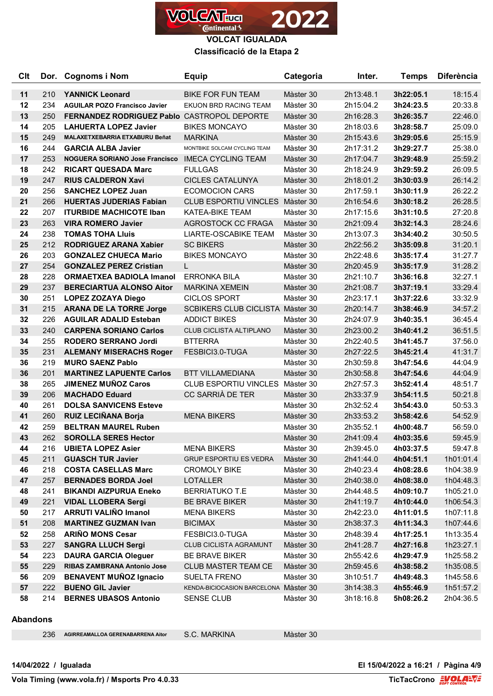

**Classificació de la Etapa 2**

| Clt |     | Dor. Cognoms i Nom                                 | <b>Equip</b>                            | Categoria | Inter.    | <b>Temps</b> | <b>Diferència</b> |
|-----|-----|----------------------------------------------------|-----------------------------------------|-----------|-----------|--------------|-------------------|
| 11  | 210 | <b>YANNICK Leonard</b>                             | <b>BIKE FOR FUN TEAM</b>                | Màster 30 | 2h13:48.1 | 3h22:05.1    | 18:15.4           |
| 12  | 234 | <b>AGUILAR POZO Francisco Javier</b>               | EKUON BRD RACING TEAM                   | Màster 30 | 2h15:04.2 | 3h24:23.5    | 20:33.8           |
| 13  | 250 | <b>FERNANDEZ RODRIGUEZ Pablo CASTROPOL DEPORTE</b> |                                         | Màster 30 | 2h16:28.3 | 3h26:35.7    | 22:46.0           |
| 14  | 205 | <b>LAHUERTA LOPEZ Javier</b>                       | <b>BIKES MONCAYO</b>                    | Màster 30 | 2h18:03.6 | 3h28:58.7    | 25:09.0           |
| 15  | 249 | MALAXETXEBARRIA ETXABURU Beñat                     | <b>MARKINA</b>                          | Màster 30 | 2h15:43.6 | 3h29:05.6    | 25:15.9           |
| 16  | 244 | <b>GARCIA ALBA Javier</b>                          | MONTBIKE SOLCAM CYCLING TEAM            | Màster 30 | 2h17:31.2 | 3h29:27.7    | 25:38.0           |
| 17  | 253 | NOGUERA SORIANO Jose Francisco                     | <b>IMECA CYCLING TEAM</b>               | Màster 30 | 2h17:04.7 | 3h29:48.9    | 25:59.2           |
| 18  | 242 | <b>RICART QUESADA Marc</b>                         | <b>FULLGAS</b>                          | Màster 30 | 2h18:24.9 | 3h29:59.2    | 26:09.5           |
| 19  | 247 | <b>RIUS CALDERON Xavi</b>                          | <b>CICLES CATALUNYA</b>                 | Màster 30 | 2h18:01.2 | 3h30:03.9    | 26:14.2           |
| 20  | 256 | <b>SANCHEZ LOPEZ Juan</b>                          | <b>ECOMOCION CARS</b>                   | Màster 30 | 2h17:59.1 | 3h30:11.9    | 26:22.2           |
| 21  | 266 | <b>HUERTAS JUDERIAS Fabian</b>                     | <b>CLUB ESPORTIU VINCLES</b>            | Màster 30 | 2h16:54.6 | 3h30:18.2    | 26:28.5           |
| 22  | 207 | <b>ITURBIDE MACHICOTE Iban</b>                     | KATEA-BIKE TEAM                         | Màster 30 | 2h17:15.6 | 3h31:10.5    | 27:20.8           |
| 23  | 263 | <b>VIRA ROMERO Javier</b>                          | AGROSTOCK CC FRAGA                      | Màster 30 | 2h21:09.4 | 3h32:14.3    | 28:24.6           |
| 24  | 238 | <b>TOMAS TOHA LIUIS</b>                            | <b>LIARTE-OSCABIKE TEAM</b>             | Màster 30 | 2h13:07.3 | 3h34:40.2    | 30:50.5           |
| 25  | 212 | <b>RODRIGUEZ ARANA Xabier</b>                      | <b>SC BIKERS</b>                        | Màster 30 | 2h22:56.2 | 3h35:09.8    | 31:20.1           |
| 26  | 203 | <b>GONZALEZ CHUECA Mario</b>                       | <b>BIKES MONCAYO</b>                    | Màster 30 | 2h22:48.6 | 3h35:17.4    | 31:27.7           |
| 27  | 254 | <b>GONZALEZ PEREZ Cristian</b>                     | L.                                      | Màster 30 | 2h20:45.9 | 3h35:17.9    | 31:28.2           |
| 28  | 228 | <b>ORMAETXEA BADIOLA Imanol</b>                    | <b>ERRONKA BILA</b>                     | Màster 30 | 2h21:10.7 | 3h36:16.8    | 32:27.1           |
| 29  | 237 | <b>BERECIARTUA ALONSO Aitor</b>                    | <b>MARKINA XEMEIN</b>                   | Màster 30 | 2h21:08.7 | 3h37:19.1    | 33:29.4           |
| 30  | 251 | <b>LOPEZ ZOZAYA Diego</b>                          | <b>CICLOS SPORT</b>                     | Màster 30 | 2h23:17.1 | 3h37:22.6    | 33:32.9           |
| 31  | 215 | <b>ARANA DE LA TORRE Jorge</b>                     | <b>SCBIKERS CLUB CICLISTA Màster 30</b> |           | 2h20:14.7 | 3h38:46.9    | 34:57.2           |
| 32  | 226 | <b>AGUILAR ADALID Esteban</b>                      | <b>ADDICT BIKES</b>                     | Màster 30 | 2h24:07.9 | 3h40:35.1    | 36:45.4           |
| 33  | 240 | <b>CARPENA SORIANO Carlos</b>                      | CLUB CICLISTA ALTIPLANO                 | Màster 30 | 2h23:00.2 | 3h40:41.2    | 36:51.5           |
| 34  | 255 | <b>RODERO SERRANO Jordi</b>                        | <b>BTTERRA</b>                          | Màster 30 | 2h22:40.5 | 3h41:45.7    | 37:56.0           |
| 35  | 231 | <b>ALEMANY MISERACHS Roger</b>                     | FESBICI3.0-TUGA                         | Màster 30 | 2h27:22.5 | 3h45:21.4    | 41:31.7           |
| 36  | 219 | <b>MURO SAENZ Pablo</b>                            |                                         | Màster 30 | 2h30:59.8 | 3h47:54.6    | 44:04.9           |
| 36  | 201 | <b>MARTINEZ LAPUENTE Carlos</b>                    | <b>BTT VILLAMEDIANA</b>                 | Màster 30 | 2h30:58.8 | 3h47:54.6    | 44:04.9           |
| 38  | 265 | <b>JIMENEZ MUÑOZ Caros</b>                         | <b>CLUB ESPORTIU VINCLES</b>            | Màster 30 | 2h27:57.3 | 3h52:41.4    | 48:51.7           |
| 39  | 206 | <b>MACHADO Eduard</b>                              | CC SARRIÀ DE TER                        | Màster 30 | 2h33:37.9 | 3h54:11.5    | 50:21.8           |
| 40  | 261 | <b>DOLSA SANVICENS Esteve</b>                      |                                         | Màster 30 | 2h32:52.4 | 3h54:43.0    | 50:53.3           |
| 41  | 260 | <b>RUIZ LECIÑANA Borja</b>                         | <b>MENA BIKERS</b>                      | Màster 30 | 2h33:53.2 | 3h58:42.6    | 54:52.9           |
| 42  | 259 | <b>BELTRAN MAUREL Ruben</b>                        |                                         | Màster 30 | 2h35:52.1 | 4h00:48.7    | 56:59.0           |
| 43  | 262 | <b>SOROLLA SERES Hector</b>                        |                                         | Màster 30 | 2h41:09.4 | 4h03:35.6    | 59:45.9           |
| 44  | 216 | <b>UBIETA LOPEZ Asier</b>                          | <b>MENA BIKERS</b>                      | Màster 30 | 2h39:45.0 | 4h03:37.5    | 59:47.8           |
| 45  | 211 | <b>GUASCH TUR Javier</b>                           | <b>GRUP ESPORTIU ES VEDRA</b>           | Màster 30 | 2h41:44.0 | 4h04:51.1    | 1h01:01.4         |
| 46  | 218 | <b>COSTA CASELLAS Marc</b>                         | <b>CROMOLY BIKE</b>                     | Màster 30 | 2h40:23.4 | 4h08:28.6    | 1h04:38.9         |
| 47  | 257 | <b>BERNADES BORDA Joel</b>                         | LOTALLER                                | Màster 30 | 2h40:38.0 | 4h08:38.0    | 1h04:48.3         |
| 48  | 241 | <b>BIKANDI AIZPURUA Eneko</b>                      | <b>BERRIATUKO T.E</b>                   | Màster 30 | 2h44:48.5 | 4h09:10.7    | 1h05:21.0         |
| 49  | 221 | <b>VIDAL LLOBERA Sergi</b>                         | <b>BE BRAVE BIKER</b>                   | Màster 30 | 2h41:19.7 | 4h10:44.0    | 1h06:54.3         |
| 50  | 217 | <b>ARRUTI VALIÑO Imanol</b>                        | <b>MENA BIKERS</b>                      | Màster 30 | 2h42:23.0 | 4h11:01.5    | 1h07:11.8         |
| 51  | 208 | <b>MARTINEZ GUZMAN Ivan</b>                        | <b>BICIMAX</b>                          | Màster 30 | 2h38:37.3 | 4h11:34.3    | 1h07:44.6         |
| 52  | 258 | <b>ARIÑO MONS Cesar</b>                            | FESBICI3.0-TUGA                         | Màster 30 | 2h48:39.4 | 4h17:25.1    | 1h13:35.4         |
| 53  | 227 | <b>SANGRA LLUCH Sergi</b>                          | CLUB CICLISTA AGRAMUNT                  | Màster 30 | 2h41:28.7 | 4h27:16.8    | 1h23:27.1         |
| 54  | 223 | <b>DAURA GARCIA Oleguer</b>                        | <b>BE BRAVE BIKER</b>                   | Màster 30 | 2h55:42.6 | 4h29:47.9    | 1h25:58.2         |
| 55  | 229 | RIBAS ZAMBRANA Antonio Jose                        | CLUB MASTER TEAM CE                     | Màster 30 | 2h59:45.6 | 4h38:58.2    | 1h35:08.5         |
| 56  | 209 | <b>BENAVENT MUÑOZ Ignacio</b>                      | SUELTA FRENO                            | Màster 30 | 3h10:51.7 | 4h49:48.3    | 1h45:58.6         |
| 57  | 222 | <b>BUENO GIL Javier</b>                            | KENDA-BICIOCASION BARCELONA Màster 30   |           | 3h14:38.3 | 4h55:46.9    | 1h51:57.2         |
| 58  | 214 | <b>BERNES UBASOS Antonio</b>                       | <b>SENSE CLUB</b>                       | Màster 30 | 3h18:16.8 | 5h08:26.2    | 2h04:36.5         |

#### **Abandons**

**AGIRREAMALLOA GERENABARRENA Aitor** S.C. MARKINA Màster 30

**14/04/2022 / Igualada El 15/04/2022 a 16:21 / Pàgina 4/9**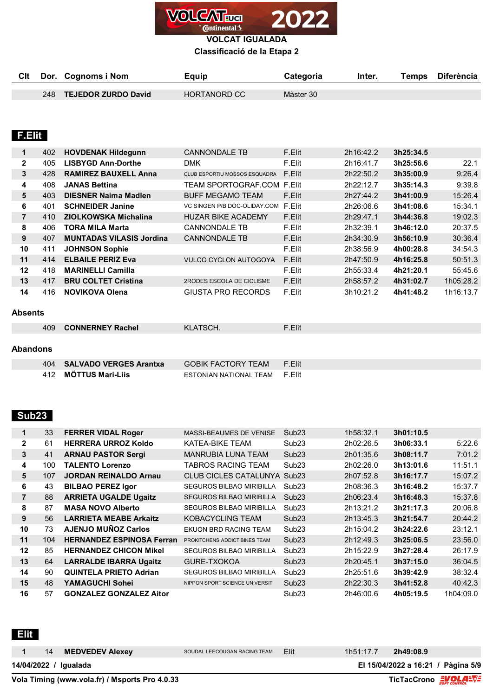

# **Classificació de la Etapa 2**

| Clt | Dor. Cognoms i Nom      | ≞quip               | Categoria | Inter | Temps | <b>Diferència</b> |
|-----|-------------------------|---------------------|-----------|-------|-------|-------------------|
|     |                         |                     |           |       |       |                   |
|     | 248 TEJEDOR ZURDO David | <b>HORTANORD CC</b> | Màster 30 |       |       |                   |

# **F.Elit**

| 1              | 402 | <b>HOVDENAK Hildegunn</b>       | <b>CANNONDALE TB</b>          | F.Elit        | 2h16:42.2 | 3h25:34.5 |           |
|----------------|-----|---------------------------------|-------------------------------|---------------|-----------|-----------|-----------|
| $\mathbf{2}$   | 405 | <b>LISBYGD Ann-Dorthe</b>       | <b>DMK</b>                    | F.Elit        | 2h16:41.7 | 3h25:56.6 | 22.1      |
| 3              | 428 | <b>RAMIREZ BAUXELL Anna</b>     | CLUB ESPORTIU MOSSOS ESQUADRA | F.Elit        | 2h22:50.2 | 3h35:00.9 | 9:26.4    |
| 4              | 408 | <b>JANAS Bettina</b>            | TEAM SPORTOGRAF.COM           | <b>F.Flit</b> | 2h22:12.7 | 3h35:14.3 | 9:39.8    |
| 5              | 403 | <b>DIESNER Naima Madlen</b>     | <b>BUFF MEGAMO TEAM</b>       | F.Elit        | 2h27:44.2 | 3h41:00.9 | 15:26.4   |
| 6              | 401 | <b>SCHNEIDER Janine</b>         | VC SINGEN P/B DOC-OLIDAY.COM  | F.Elit        | 2h26:06.6 | 3h41:08.6 | 15:34.1   |
| $\overline{7}$ | 410 | ZIOLKOWSKA Michalina            | <b>HUZAR BIKE ACADEMY</b>     | F.Elit        | 2h29:47.1 | 3h44:36.8 | 19:02.3   |
| 8              | 406 | <b>TORA MILA Marta</b>          | <b>CANNONDALE TB</b>          | F.Elit        | 2h32:39.1 | 3h46:12.0 | 20:37.5   |
| 9              | 407 | <b>MUNTADAS VILASIS Jordina</b> | <b>CANNONDALE TB</b>          | F.Elit        | 2h34:30.9 | 3h56:10.9 | 30:36.4   |
| 10             | 411 | <b>JOHNSON Sophie</b>           |                               | F.Elit        | 2h38:56.9 | 4h00:28.8 | 34:54.3   |
| 11             | 414 | <b>ELBAILE PERIZ Eva</b>        | <b>VULCO CYCLON AUTOGOYA</b>  | F.Elit        | 2h47:50.9 | 4h16:25.8 | 50:51.3   |
| 12             | 418 | <b>MARINELLI Camilla</b>        |                               | F.Elit        | 2h55:33.4 | 4h21:20.1 | 55:45.6   |
| 13             | 417 | <b>BRU COLTET Cristina</b>      | 2RODES ESCOLA DE CICLISME     | F.Elit        | 2h58:57.2 | 4h31:02.7 | 1h05:28.2 |
| 14             | 416 | <b>NOVIKOVA Olena</b>           | GIUSTA PRO RECORDS            | F.Elit        | 3h10:21.2 | 4h41:48.2 | 1h16:13.7 |

#### **Absents**

| 409 CONNERNEY Rachel | KLATSCH. |  |
|----------------------|----------|--|
|                      |          |  |

### **Abandons**

| 404 SALVADO VERGES Arantxa | GOBIK FACTORY TEAM             | F.Flit |
|----------------------------|--------------------------------|--------|
| 412 MÕTTUS Mari-Liis       | ESTONIAN NATIONAL TEAM F. Flit |        |

## **Sub23**

| 1              | 33  | <b>FERRER VIDAL Roger</b>        | <b>MASSI-BEAUMES DE VENISE</b>  | Sub <sub>23</sub> | 1h58:32.1 | 3h01:10.5 |           |
|----------------|-----|----------------------------------|---------------------------------|-------------------|-----------|-----------|-----------|
| $\mathbf{2}$   | 61  | <b>HERRERA URROZ Koldo</b>       | KATEA-BIKE TEAM                 | Sub <sub>23</sub> | 2h02:26.5 | 3h06:33.1 | 5:22.6    |
| 3              | 41  | <b>ARNAU PASTOR Sergi</b>        | MANRUBIA LUNA TEAM              | Sub <sub>23</sub> | 2h01:35.6 | 3h08:11.7 | 7:01.2    |
| 4              | 100 | <b>TALENTO Lorenzo</b>           | TABROS RACING TEAM              | Sub <sub>23</sub> | 2h02:26.0 | 3h13:01.6 | 11:51.1   |
| 5              | 107 | <b>JORDAN REINALDO Arnau</b>     | CLUB CICLES CATALUNYA Sub23     |                   | 2h07:52.8 | 3h16:17.7 | 15:07.2   |
| 6              | 43  | <b>BILBAO PEREZ Igor</b>         | <b>SEGUROS BILBAO MIRIBILLA</b> | Sub <sub>23</sub> | 2h08:36.3 | 3h16:48.2 | 15:37.7   |
| $\overline{7}$ | 88  | <b>ARRIETA UGALDE Ugaitz</b>     | <b>SEGUROS BILBAO MIRIBILLA</b> | Sub <sub>23</sub> | 2h06:23.4 | 3h16:48.3 | 15:37.8   |
| 8              | 87  | <b>MASA NOVO Alberto</b>         | SEGUROS BILBAO MIRIBILLA        | Sub <sub>23</sub> | 2h13:21.2 | 3h21:17.3 | 20:06.8   |
| 9              | 56  | <b>LARRIETA MEABE Arkaitz</b>    | KOBACYCLING TEAM                | Sub <sub>23</sub> | 2h13:45.3 | 3h21:54.7 | 20:44.2   |
| 10             | 73  | <b>AJENJO MUÑOZ Carlos</b>       | EKUON BRD RACING TEAM           | Sub <sub>23</sub> | 2h15:04.2 | 3h24:22.6 | 23:12.1   |
| 11             | 104 | <b>HERNANDEZ ESPINOSA Ferran</b> | PROKITCHENS ADDICT BIKES TEAM   | Sub <sub>23</sub> | 2h12:49.3 | 3h25:06.5 | 23:56.0   |
| 12             | 85  | <b>HERNANDEZ CHICON Mikel</b>    | <b>SEGUROS BILBAO MIRIBILLA</b> | Sub <sub>23</sub> | 2h15:22.9 | 3h27:28.4 | 26:17.9   |
| 13             | 64  | <b>LARRALDE IBARRA Ugaitz</b>    | GURE-TXOKOA                     | Sub <sub>23</sub> | 2h20:45.1 | 3h37:15.0 | 36:04.5   |
| 14             | 90  | <b>QUINTELA PRIETO Adrian</b>    | <b>SEGUROS BILBAO MIRIBILLA</b> | Sub <sub>23</sub> | 2h25:51.6 | 3h39:42.9 | 38:32.4   |
| 15             | 48  | YAMAGUCHI Sohei                  | NIPPON SPORT SCIENCE UNIVERSIT  | Sub <sub>23</sub> | 2h22:30.3 | 3h41:52.8 | 40:42.3   |
| 16             | 57  | <b>GONZALEZ GONZALEZ Aitor</b>   |                                 | Sub <sub>23</sub> | 2h46:00.6 | 4h05:19.5 | 1h04:09.0 |

#### **Elit**

1 14 **MEDVEDEV Alexey** SOUDAL LEECOUGAN RACING TEAM Elit 1h51:17.7 **2h49:08.9** 

**14/04/2022 / Igualada El 15/04/2022 a 16:21 / Pàgina 5/9**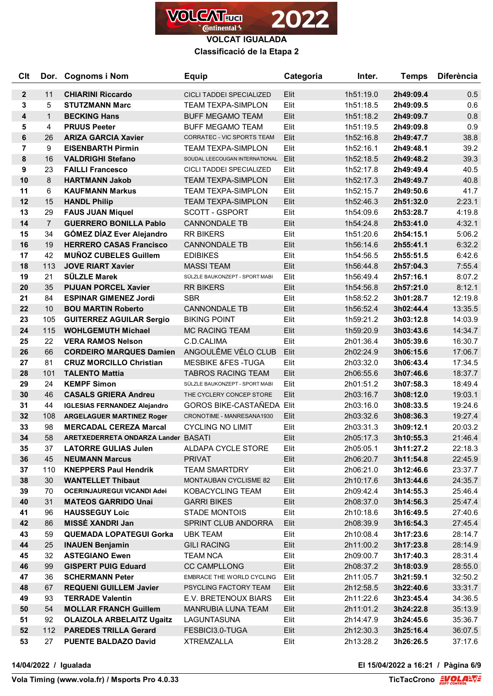

#### **Classificació de la Etapa 2**

| <b>Clt</b>     |                | Dor. Cognoms i Nom                  | <b>Equip</b>                     | Categoria | Inter.    | <b>Temps</b> | <b>Diferència</b> |
|----------------|----------------|-------------------------------------|----------------------------------|-----------|-----------|--------------|-------------------|
| $\mathbf{2}$   | 11             | <b>CHIARINI Riccardo</b>            | <b>CICLI TADDEI SPECIALIZED</b>  | Elit      | 1h51:19.0 | 2h49:09.4    | 0.5               |
| 3              | 5              | <b>STUTZMANN Marc</b>               | <b>TEAM TEXPA-SIMPLON</b>        | Elit      | 1h51:18.5 | 2h49:09.5    | 0.6               |
| 4              | $\mathbf{1}$   | <b>BECKING Hans</b>                 | <b>BUFF MEGAMO TEAM</b>          | Elit      | 1h51:18.2 | 2h49:09.7    | 0.8               |
| 5              | 4              | <b>PRUUS Peeter</b>                 | <b>BUFF MEGAMO TEAM</b>          | Elit      | 1h51:19.5 | 2h49:09.8    | 0.9               |
| 6              | 26             | <b>ARIZA GARCIA Xavier</b>          | CORRATEC - VIC SPORTS TEAM       | Elit      | 1h52:16.8 | 2h49:47.7    | 38.8              |
| $\overline{7}$ | 9              | <b>EISENBARTH Pirmin</b>            | <b>TEAM TEXPA-SIMPLON</b>        | Elit      | 1h52:16.1 | 2h49:48.1    | 39.2              |
| 8              | 16             | <b>VALDRIGHI Stefano</b>            | SOUDAL LEECOUGAN INTERNATIONAL   | Elit      | 1h52:18.5 | 2h49:48.2    | 39.3              |
| 9              | 23             | <b>FAILLI Francesco</b>             | CICLI TADDEI SPECIALIZED         | Elit      | 1h52:17.8 | 2h49:49.4    | 40.5              |
| 10             | 8              | <b>HARTMANN Jakob</b>               | <b>TEAM TEXPA-SIMPLON</b>        | Elit      | 1h52:17.3 | 2h49:49.7    | 40.8              |
| 11             | 6              | <b>KAUFMANN Markus</b>              | <b>TEAM TEXPA-SIMPLON</b>        | Elit      | 1h52:15.7 | 2h49:50.6    | 41.7              |
| 12             | 15             | <b>HANDL Philip</b>                 | <b>TEAM TEXPA-SIMPLON</b>        | Elit      | 1h52:46.3 | 2h51:32.0    | 2:23.1            |
| 13             | 29             | <b>FAUS JUAN Miquel</b>             | SCOTT - GSPORT                   | Elit      | 1h54:09.6 | 2h53:28.7    | 4:19.8            |
| 14             | $\overline{7}$ | <b>GUERRERO BONILLA Pablo</b>       | <b>CANNONDALE TB</b>             | Elit      | 1h54:24.8 | 2h53:41.0    | 4:32.1            |
| 15             | 34             | <b>GÓMEZ DÍAZ Ever Alejandro</b>    | <b>RR BIKERS</b>                 | Elit      | 1h51:20.6 | 2h54:15.1    | 5:06.2            |
| 16             | 19             | <b>HERRERO CASAS Francisco</b>      | <b>CANNONDALE TB</b>             | Elit      | 1h56:14.6 | 2h55:41.1    | 6:32.2            |
| 17             | 42             | <b>MUÑOZ CUBELES Guillem</b>        | <b>EDIBIKES</b>                  | Elit      | 1h54:56.5 | 2h55:51.5    | 6:42.6            |
| 18             | 113            | <b>JOVE RIART Xavier</b>            | <b>MASSI TEAM</b>                | Elit      | 1h56:44.8 | 2h57:04.3    | 7:55.4            |
| 19             | 21             | <b>SÜLZLE Marek</b>                 | SÜLZLE BAUKONZEPT - SPORT MABI   | Elit      | 1h56:49.4 | 2h57:16.1    | 8:07.2            |
| 20             | 35             | <b>PIJUAN PORCEL Xavier</b>         | <b>RR BIKERS</b>                 | Elit      | 1h54:56.8 | 2h57:21.0    | 8:12.1            |
| 21             | 84             | <b>ESPINAR GIMENEZ Jordi</b>        | <b>SBR</b>                       | Elit      | 1h58:52.2 | 3h01:28.7    | 12:19.8           |
| 22             | 10             | <b>BOU MARTIN Roberto</b>           | <b>CANNONDALE TB</b>             | Elit      | 1h56:52.4 | 3h02:44.4    | 13:35.5           |
| 23             | 105            | <b>GUITERREZ AGUILAR Sergio</b>     | <b>BIKING POINT</b>              | Elit      | 1h59:21.2 | 3h03:12.8    | 14:03.9           |
| 24             | 115            | <b>WOHLGEMUTH Michael</b>           | <b>MC RACING TEAM</b>            | Elit      | 1h59:20.9 | 3h03:43.6    | 14:34.7           |
| 25             | 22             | <b>VERA RAMOS Nelson</b>            | C.D.CALIMA                       | Elit      | 2h01:36.4 | 3h05:39.6    | 16:30.7           |
| 26             | 66             | <b>CORDEIRO MARQUES Damien</b>      | ANGOULÊME VÉLO CLUB              | Elit      | 2h02:24.9 | 3h06:15.6    | 17:06.7           |
| 27             | 81             | <b>CRUZ MORCILLO Christian</b>      | <b>MESBIKE &amp;FES-TUGA</b>     | Elit      | 2h03:32.0 | 3h06:43.4    | 17:34.5           |
| 28             | 101            | <b>TALENTO Mattia</b>               | <b>TABROS RACING TEAM</b>        | Elit      | 2h06:55.6 | 3h07:46.6    | 18:37.7           |
| 29             | 24             | <b>KEMPF Simon</b>                  | SÜLZLE BAUKONZEPT - SPORT MABI   | Elit      | 2h01:51.2 | 3h07:58.3    | 18:49.4           |
| 30             | 46             | <b>CASALS GRIERA Andreu</b>         | THE CYCLERY CONCEP STORE         | Elit      | 2h03:16.7 | 3h08:12.0    | 19:03.1           |
| 31             | 44             | <b>IGLESIAS FERNANDEZ Alejandro</b> | <b>GOROS BIKE-CASTAÑEDA Elit</b> |           | 2h03:16.0 | 3h08:33.5    | 19:24.6           |
| 32             | 108            | <b>ARGELAGUER MARTINEZ Roger</b>    | CRONOTIME - MANRESANA1930        | Elit      | 2h03:32.6 | 3h08:36.3    | 19:27.4           |
| 33             | 98             | <b>MERCADAL CEREZA Marcal</b>       | <b>CYCLING NO LIMIT</b>          | Elit      | 2h03:31.3 | 3h09:12.1    | 20:03.2           |
| 34             | 58             | ARETXEDERRETA ONDARZA Lander BASATI |                                  | Elit      | 2h05:17.3 | 3h10:55.3    | 21:46.4           |
| 35             | 37             | <b>LATORRE GULIAS Julen</b>         | ALDAPA CYCLE STORE               | Elit      | 2h05:05.1 | 3h11:27.2    | 22:18.3           |
| 36             | 45             | <b>NEUMANN Marcus</b>               | <b>PRIVAT</b>                    | Elit      | 2h06:20.7 | 3h11:54.8    | 22:45.9           |
| 37             | 110            | <b>KNEPPERS Paul Hendrik</b>        | <b>TEAM SMARTDRY</b>             | Elit      | 2h06:21.0 | 3h12:46.6    | 23:37.7           |
| 38             | 30             | <b>WANTELLET Thibaut</b>            | MONTAUBAN CYCLISME 82            | Elit      | 2h10:17.6 | 3h13:44.6    | 24:35.7           |
| 39             | 70             | <b>OCERINJAUREGUI VICANDI Adei</b>  | KOBACYCLING TEAM                 | Elit      | 2h09:42.4 | 3h14:55.3    | 25:46.4           |
| 40             | 31             | <b>MATEOS GARRIDO Unai</b>          | <b>GARRI BIKES</b>               | Elit      | 2h08:37.0 | 3h14:56.3    | 25:47.4           |
| 41             | 96             | <b>HAUSSEGUY Loic</b>               | <b>STADE MONTOIS</b>             | Elit      | 2h10:18.6 | 3h16:49.5    | 27:40.6           |
| 42             | 86             | <b>MISSÉ XANDRI Jan</b>             | SPRINT CLUB ANDORRA              | Elit      | 2h08:39.9 | 3h16:54.3    | 27:45.4           |
| 43             | 59             | <b>QUEMADA LOPATEGUI Gorka</b>      | <b>UBK TEAM</b>                  | Elit      | 2h10:08.4 | 3h17:23.6    | 28:14.7           |
| 44             | 25             | <b>INAUEN Benjamin</b>              | <b>GILI RACING</b>               | Elit      | 2h11:00.2 | 3h17:23.8    | 28:14.9           |
| 45             | 32             | <b>ASTEGIANO Ewen</b>               | <b>TEAM NCA</b>                  | Elit      | 2h09:00.7 | 3h17:40.3    | 28:31.4           |
| 46             | 99             | <b>GISPERT PUIG Eduard</b>          | <b>CC CAMPLLONG</b>              | Elit      | 2h08:37.2 | 3h18:03.9    | 28:55.0           |
| 47             | 36             | <b>SCHERMANN Peter</b>              | EMBRACE THE WORLD CYCLING        | Elit      | 2h11:05.7 | 3h21:59.1    | 32:50.2           |
| 48             | 67             | <b>REQUENI GUILLEM Javier</b>       | PSYCLING FACTORY TEAM            | Elit      | 2h12:58.5 | 3h22:40.6    | 33:31.7           |
| 49             | 93             | <b>TERRADE Valentin</b>             | E.V. BRETENOUX BIARS             | Elit      | 2h11:22.6 | 3h23:45.4    | 34:36.5           |
| 50             | 54             | <b>MOLLAR FRANCH Guillem</b>        | MANRUBIA LUNA TEAM               | Elit      | 2h11:01.2 | 3h24:22.8    | 35:13.9           |
| 51             | 92             | <b>OLAIZOLA ARBELAITZ Ugaitz</b>    | LAGUNTASUNA                      | Elit      | 2h14:47.9 | 3h24:45.6    | 35:36.7           |
| 52             | 112            | <b>PAREDES TRILLA Gerard</b>        | FESBICI3.0-TUGA                  | Elit      | 2h12:30.3 | 3h25:16.4    | 36:07.5           |
| 53             | 27             | <b>PUENTE BALDAZO David</b>         | <b>XTREMZALLA</b>                | Elit      | 2h13:28.2 | 3h26:26.5    | 37:17.6           |

**14/04/2022 / Igualada El 15/04/2022 a 16:21 / Pàgina 6/9**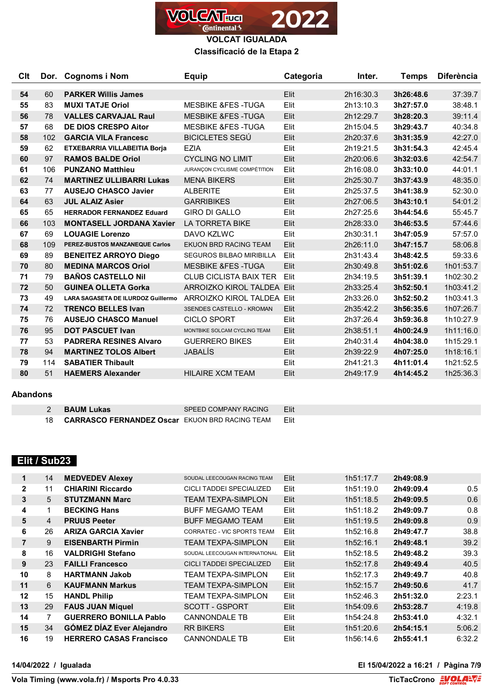

**VOLCAT IGUALADA Classificació de la Etapa 2**

| Clt |     | Dor. Cognoms i Nom                        | <b>Equip</b>                     | Categoria | Inter.    | <b>Temps</b> | <b>Diferència</b> |
|-----|-----|-------------------------------------------|----------------------------------|-----------|-----------|--------------|-------------------|
| 54  | 60  | <b>PARKER Willis James</b>                |                                  | Elit      | 2h16:30.3 | 3h26:48.6    | 37:39.7           |
| 55  | 83  | <b>MUXI TATJE Oriol</b>                   | <b>MESBIKE &amp;FES-TUGA</b>     | Elit      | 2h13:10.3 | 3h27:57.0    | 38:48.1           |
| 56  | 78  | <b>VALLES CARVAJAL Raul</b>               | <b>MESBIKE &amp;FES-TUGA</b>     | Elit      | 2h12:29.7 | 3h28:20.3    | 39:11.4           |
| 57  | 68  | <b>DE DIOS CRESPO Aitor</b>               | <b>MESBIKE &amp;FES-TUGA</b>     | Elit      | 2h15:04.5 | 3h29:43.7    | 40:34.8           |
| 58  | 102 | <b>GARCIA VILA Francesc</b>               | BICICLETES SEGU                  | Elit      | 2h20:37.6 | 3h31:35.9    | 42:27.0           |
| 59  | 62  | ETXEBARRIA VILLABEITIA Borja              | <b>EZIA</b>                      | Elit      | 2h19:21.5 | 3h31:54.3    | 42:45.4           |
| 60  | 97  | <b>RAMOS BALDE Oriol</b>                  | <b>CYCLING NO LIMIT</b>          | Elit      | 2h20:06.6 | 3h32:03.6    | 42:54.7           |
| 61  | 106 | <b>PUNZANO Matthieu</b>                   | JURANÇON CYCLISME COMPÉTITION    | Elit      | 2h16:08.0 | 3h33:10.0    | 44:01.1           |
| 62  | 74  | <b>MARTINEZ ULLIBARRI Lukas</b>           | <b>MENA BIKERS</b>               | Elit      | 2h25:30.7 | 3h37:43.9    | 48:35.0           |
| 63  | 77  | <b>AUSEJO CHASCO Javier</b>               | <b>ALBERITE</b>                  | Elit      | 2h25:37.5 | 3h41:38.9    | 52:30.0           |
| 64  | 63  | <b>JUL ALAIZ Asier</b>                    | <b>GARRIBIKES</b>                | Elit      | 2h27:06.5 | 3h43:10.1    | 54:01.2           |
| 65  | 65  | <b>HERRADOR FERNANDEZ Eduard</b>          | <b>GIRO DI GALLO</b>             | Elit      | 2h27:25.6 | 3h44:54.6    | 55:45.7           |
| 66  | 103 | <b>MONTASELL JORDANA Xavier</b>           | <b>LA TORRETA BIKE</b>           | Elit      | 2h28:33.0 | 3h46:53.5    | 57:44.6           |
| 67  | 69  | <b>LOUAGIE Lorenzo</b>                    | DAVO KZLWC                       | Elit      | 2h30:31.1 | 3h47:05.9    | 57:57.0           |
| 68  | 109 | PEREZ-BUSTOS MANZANEQUE Carlos            | EKUON BRD RACING TEAM            | Elit      | 2h26:11.0 | 3h47:15.7    | 58:06.8           |
| 69  | 89  | <b>BENEITEZ ARROYO Diego</b>              | <b>SEGUROS BILBAO MIRIBILLA</b>  | Elit      | 2h31:43.4 | 3h48:42.5    | 59:33.6           |
| 70  | 80  | <b>MEDINA MARCOS Oriol</b>                | <b>MESBIKE &amp;FES-TUGA</b>     | Elit      | 2h30:49.8 | 3h51:02.6    | 1h01:53.7         |
| 71  | 79  | <b>BAÑOS CASTELLO NII</b>                 | <b>CLUB CICLISTA BAIX TER</b>    | Elit      | 2h34:19.5 | 3h51:39.1    | 1h02:30.2         |
| 72  | 50  | <b>GUINEA OLLETA Gorka</b>                | ARROIZKO KIROL TALDEA Elit       |           | 2h33:25.4 | 3h52:50.1    | 1h03:41.2         |
| 73  | 49  | <b>LARA SAGASETA DE ILURDOZ Guillermo</b> | ARROIZKO KIROL TALDEA Elit       |           | 2h33:26.0 | 3h52:50.2    | 1h03:41.3         |
| 74  | 72  | <b>TRENCO BELLES Ivan</b>                 | <b>3SENDES CASTELLO - KROMAN</b> | Elit      | 2h35:42.2 | 3h56:35.6    | 1h07:26.7         |
| 75  | 76  | <b>AUSEJO CHASCO Manuel</b>               | <b>CICLO SPORT</b>               | Elit      | 2h37:26.4 | 3h59:36.8    | 1h10:27.9         |
| 76  | 95  | <b>DOT PASCUET Ivan</b>                   | MONTBIKE SOLCAM CYCLING TEAM     | Elit      | 2h38:51.1 | 4h00:24.9    | 1h11:16.0         |
| 77  | 53  | <b>PADRERA RESINES Alvaro</b>             | <b>GUERRERO BIKES</b>            | Elit      | 2h40:31.4 | 4h04:38.0    | 1h15:29.1         |
| 78  | 94  | <b>MARTINEZ TOLOS Albert</b>              | <b>JABALÍS</b>                   | Elit      | 2h39:22.9 | 4h07:25.0    | 1h18:16.1         |
| 79  | 114 | <b>SABATIER Thibault</b>                  |                                  | Elit      | 2h41:21.3 | 4h11:01.4    | 1h21:52.5         |
| 80  | 51  | <b>HAEMERS Alexander</b>                  | <b>HILAIRE XCM TEAM</b>          | Elit      | 2h49:17.9 | 4h14:45.2    | 1h25:36.3         |

#### **Abandons**

|    | <b>BAUM Lukas</b>                                     | SPEED COMPANY RACING | Flit |
|----|-------------------------------------------------------|----------------------|------|
| 18 | <b>CARRASCO FERNANDEZ Oscar</b> EKUON BRD RACING TEAM |                      | Flit |

## **Elit / Sub23**

| 1            | 14             | <b>MEDVEDEV Alexey</b>           | SOUDAL LEECOUGAN RACING TEAM   | Elit | 1h51:17.7 | 2h49:08.9 |        |
|--------------|----------------|----------------------------------|--------------------------------|------|-----------|-----------|--------|
| $\mathbf{2}$ | 11             | <b>CHIARINI Riccardo</b>         | CICLI TADDEI SPECIALIZED       | Elit | 1h51:19.0 | 2h49:09.4 | 0.5    |
| 3            | 5              | <b>STUTZMANN Marc</b>            | TEAM TEXPA-SIMPLON             | Elit | 1h51:18.5 | 2h49:09.5 | 0.6    |
| 4            | 1              | <b>BECKING Hans</b>              | <b>BUFF MEGAMO TEAM</b>        | Elit | 1h51:18.2 | 2h49:09.7 | 0.8    |
| 5            | $\overline{4}$ | <b>PRUUS Peeter</b>              | <b>BUFF MEGAMO TEAM</b>        | Elit | 1h51:19.5 | 2h49:09.8 | 0.9    |
| 6            | 26             | <b>ARIZA GARCIA Xavier</b>       | CORRATEC - VIC SPORTS TEAM     | Elit | 1h52:16.8 | 2h49:47.7 | 38.8   |
| 7            | 9              | <b>EISENBARTH Pirmin</b>         | <b>TEAM TEXPA-SIMPLON</b>      | Elit | 1h52:16.1 | 2h49:48.1 | 39.2   |
| 8            | 16             | <b>VALDRIGHI Stefano</b>         | SOUDAL LEECOUGAN INTERNATIONAL | Elit | 1h52:18.5 | 2h49:48.2 | 39.3   |
| 9            | 23             | <b>FAILLI Francesco</b>          | CICLI TADDEI SPECIALIZED       | Elit | 1h52:17.8 | 2h49:49.4 | 40.5   |
| 10           | 8              | <b>HARTMANN Jakob</b>            | TEAM TEXPA-SIMPLON             | Elit | 1h52:17.3 | 2h49:49.7 | 40.8   |
| 11           | 6              | <b>KAUFMANN Markus</b>           | TEAM TEXPA-SIMPLON             | Elit | 1h52:15.7 | 2h49:50.6 | 41.7   |
| 12           | 15             | <b>HANDL Philip</b>              | TEAM TEXPA-SIMPLON             | Elit | 1h52:46.3 | 2h51:32.0 | 2:23.1 |
| 13           | 29             | <b>FAUS JUAN Miquel</b>          | <b>SCOTT - GSPORT</b>          | Elit | 1h54:09.6 | 2h53:28.7 | 4:19.8 |
| 14           |                | <b>GUERRERO BONILLA Pablo</b>    | <b>CANNONDALE TB</b>           | Elit | 1h54:24.8 | 2h53:41.0 | 4:32.1 |
| 15           | 34             | <b>GÓMEZ DÍAZ Ever Alejandro</b> | <b>RR BIKERS</b>               | Elit | 1h51:20.6 | 2h54:15.1 | 5:06.2 |
| 16           | 19             | <b>HERRERO CASAS Francisco</b>   | <b>CANNONDALE TB</b>           | Elit | 1h56:14.6 | 2h55:41.1 | 6:32.2 |

**14/04/2022 / Igualada El 15/04/2022 a 16:21 / Pàgina 7/9**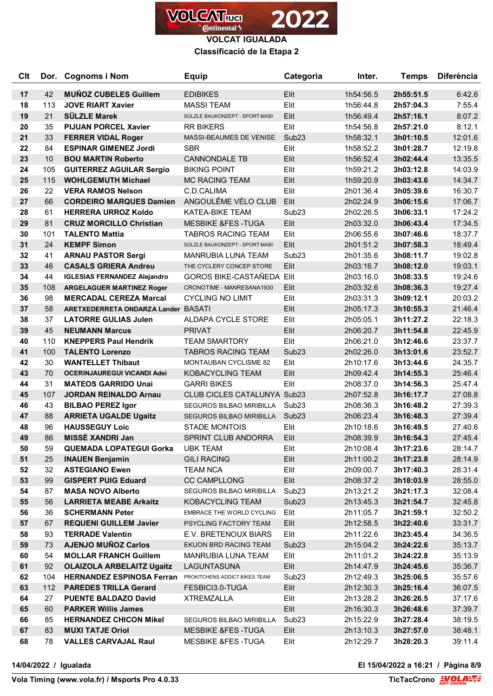

**Classificació de la Etapa 2**

| <b>Clt</b> | Dor. | <b>Cognoms i Nom</b>                | <b>Equip</b>                     | Categoria         | Inter.    | <b>Temps</b> | <b>Diferència</b> |
|------------|------|-------------------------------------|----------------------------------|-------------------|-----------|--------------|-------------------|
| 17         | 42   | <b>MUNOZ CUBELES Guillem</b>        | <b>EDIBIKES</b>                  | Elit              | 1h54:56.5 | 2h55:51.5    | 6:42.6            |
| 18         | 113  | <b>JOVE RIART Xavier</b>            | <b>MASSI TEAM</b>                | Elit              | 1h56:44.8 | 2h57:04.3    | 7:55.4            |
| 19         | 21   | <b>SÜLZLE Marek</b>                 | SÜLZLE BAUKONZEPT - SPORT MABI   | Elit              | 1h56:49.4 | 2h57:16.1    | 8:07.2            |
| 20         | 35   | <b>PIJUAN PORCEL Xavier</b>         | <b>RR BIKERS</b>                 | Elit              | 1h54:56.8 | 2h57:21.0    | 8:12.1            |
| 21         | 33   | <b>FERRER VIDAL Roger</b>           | MASSI-BEAUMES DE VENISE          | Sub <sub>23</sub> | 1h58:32.1 | 3h01:10.5    | 12:01.6           |
| 22         | 84   | <b>ESPINAR GIMENEZ Jordi</b>        | <b>SBR</b>                       | Elit              | 1h58:52.2 | 3h01:28.7    | 12:19.8           |
| 23         | 10   | <b>BOU MARTIN Roberto</b>           | <b>CANNONDALE TB</b>             | Elit              | 1h56:52.4 | 3h02:44.4    | 13:35.5           |
| 24         | 105  | <b>GUITERREZ AGUILAR Sergio</b>     | <b>BIKING POINT</b>              | Elit              | 1h59:21.2 | 3h03:12.8    | 14:03.9           |
| 25         | 115  | <b>WOHLGEMUTH Michael</b>           | <b>MC RACING TEAM</b>            | Elit              | 1h59:20.9 | 3h03:43.6    | 14:34.7           |
| 26         | 22   | <b>VERA RAMOS Nelson</b>            | C.D.CALIMA                       | Elit              | 2h01:36.4 | 3h05:39.6    | 16:30.7           |
| 27         | 66   | <b>CORDEIRO MARQUES Damien</b>      | ANGOULÊME VÉLO CLUB              | Elit              | 2h02:24.9 | 3h06:15.6    | 17:06.7           |
| 28         | 61   | <b>HERRERA URROZ Koldo</b>          | KATEA-BIKE TEAM                  | Sub <sub>23</sub> | 2h02:26.5 | 3h06:33.1    | 17:24.2           |
| 29         | 81   | <b>CRUZ MORCILLO Christian</b>      | <b>MESBIKE &amp;FES-TUGA</b>     | Elit              | 2h03:32.0 | 3h06:43.4    | 17:34.5           |
| 30         | 101  | <b>TALENTO Mattia</b>               | <b>TABROS RACING TEAM</b>        | Elit              | 2h06:55.6 | 3h07:46.6    | 18:37.7           |
| 31         | 24   | <b>KEMPF Simon</b>                  | SÜLZLE BAUKONZEPT - SPORT MABI   | Elit              | 2h01:51.2 | 3h07:58.3    | 18:49.4           |
| 32         | 41   | <b>ARNAU PASTOR Sergi</b>           | <b>MANRUBIA LUNA TEAM</b>        | Sub <sub>23</sub> | 2h01:35.6 | 3h08:11.7    | 19:02.8           |
| 33         | 46   | <b>CASALS GRIERA Andreu</b>         | THE CYCLERY CONCEP STORE         | Elit              | 2h03:16.7 | 3h08:12.0    | 19:03.1           |
| 34         | 44   | <b>IGLESIAS FERNANDEZ Alejandro</b> | <b>GOROS BIKE-CASTAÑEDA Elit</b> |                   | 2h03:16.0 | 3h08:33.5    | 19:24.6           |
| 35         | 108  | <b>ARGELAGUER MARTINEZ Roger</b>    | CRONOTIME - MANRESANA1930        | Elit              | 2h03:32.6 | 3h08:36.3    | 19:27.4           |
| 36         | 98   | <b>MERCADAL CEREZA Marcal</b>       | <b>CYCLING NO LIMIT</b>          | Elit              | 2h03:31.3 | 3h09:12.1    | 20:03.2           |
| 37         | 58   | ARETXEDERRETA ONDARZA Lander BASATI |                                  | Elit              | 2h05:17.3 | 3h10:55.3    | 21:46.4           |
| 38         | 37   | <b>LATORRE GULIAS Julen</b>         | <b>ALDAPA CYCLE STORE</b>        | Elit              | 2h05:05.1 | 3h11:27.2    | 22:18.3           |
| 39         | 45   | <b>NEUMANN Marcus</b>               | <b>PRIVAT</b>                    | Elit              | 2h06:20.7 | 3h11:54.8    | 22:45.9           |
| 40         | 110  | <b>KNEPPERS Paul Hendrik</b>        | <b>TEAM SMARTDRY</b>             | Elit              | 2h06:21.0 | 3h12:46.6    | 23:37.7           |
| 41         | 100  | <b>TALENTO Lorenzo</b>              | <b>TABROS RACING TEAM</b>        | Sub <sub>23</sub> | 2h02:26.0 | 3h13:01.6    | 23:52.7           |
| 42         | 30   | <b>WANTELLET Thibaut</b>            | <b>MONTAUBAN CYCLISME 82</b>     | Elit              | 2h10:17.6 | 3h13:44.6    | 24:35.7           |
| 43         | 70   | <b>OCERINJAUREGUI VICANDI Adei</b>  | <b>KOBACYCLING TEAM</b>          | Elit              | 2h09:42.4 | 3h14:55.3    | 25:46.4           |
| 44         | 31   | <b>MATEOS GARRIDO Unai</b>          | <b>GARRI BIKES</b>               | Elit              | 2h08:37.0 | 3h14:56.3    | 25:47.4           |
| 45         | 107  | <b>JORDAN REINALDO Arnau</b>        | CLUB CICLES CATALUNYA Sub23      |                   | 2h07:52.8 | 3h16:17.7    | 27:08.8           |
| 46         | 43   | <b>BILBAO PEREZ Igor</b>            | SEGUROS BILBAO MIRIBILLA         | Sub <sub>23</sub> | 2h08:36.3 | 3h16:48.2    | 27:39.3           |
| 47         | 88   | <b>ARRIETA UGALDE Ugaitz</b>        | <b>SEGUROS BILBAO MIRIBILLA</b>  | Sub <sub>23</sub> | 2h06:23.4 | 3h16:48.3    | 27:39.4           |
| 48         | 96   | <b>HAUSSEGUY Loic</b>               | <b>STADE MONTOIS</b>             | Elit              | 2h10:18.6 | 3h16:49.5    | 27:40.6           |
| 49         | 86   | MISSÉ XANDRI Jan                    | SPRINT CLUB ANDORRA              | Elit              | 2h08:39.9 | 3h16:54.3    | 27:45.4           |
| 50         | 59   | <b>QUEMADA LOPATEGUI Gorka</b>      | <b>UBK TEAM</b>                  | Elit              | 2h10:08.4 | 3h17:23.6    | 28:14.7           |
| 51         | 25   | <b>INAUEN Benjamin</b>              | <b>GILI RACING</b>               | Elit              | 2h11:00.2 | 3h17:23.8    | 28:14.9           |
| 52         | 32   | <b>ASTEGIANO Ewen</b>               | <b>TEAM NCA</b>                  | Elit              | 2h09:00.7 | 3h17:40.3    | 28:31.4           |
| 53         | 99   | <b>GISPERT PUIG Eduard</b>          | <b>CC CAMPLLONG</b>              | Elit              | 2h08:37.2 | 3h18:03.9    | 28:55.0           |
| 54         | 87   | <b>MASA NOVO Alberto</b>            | SEGUROS BILBAO MIRIBILLA         | Sub <sub>23</sub> | 2h13:21.2 | 3h21:17.3    | 32:08.4           |
| 55         | 56   | <b>LARRIETA MEABE Arkaitz</b>       | KOBACYCLING TEAM                 | Sub <sub>23</sub> | 2h13:45.3 | 3h21:54.7    | 32:45.8           |
| 56         | 36   | <b>SCHERMANN Peter</b>              | EMBRACE THE WORLD CYCLING        | Elit              | 2h11:05.7 | 3h21:59.1    | 32:50.2           |
| 57         | 67   | <b>REQUENI GUILLEM Javier</b>       | PSYCLING FACTORY TEAM            | Elit              | 2h12:58.5 | 3h22:40.6    | 33:31.7           |
| 58         | 93   | <b>TERRADE Valentin</b>             | E.V. BRETENOUX BIARS             | Elit              | 2h11:22.6 | 3h23:45.4    | 34:36.5           |
| 59         | 73   | <b>AJENJO MUÑOZ Carlos</b>          | EKUON BRD RACING TEAM            | Sub <sub>23</sub> | 2h15:04.2 | 3h24:22.6    | 35:13.7           |
| 60         | 54   | <b>MOLLAR FRANCH Guillem</b>        | MANRUBIA LUNA TEAM               | Elit              | 2h11:01.2 | 3h24:22.8    | 35:13.9           |
| 61         | 92   | <b>OLAIZOLA ARBELAITZ Ugaitz</b>    | LAGUNTASUNA                      | Elit              | 2h14:47.9 | 3h24:45.6    | 35:36.7           |
| 62         | 104  | <b>HERNANDEZ ESPINOSA Ferran</b>    | PROKITCHENS ADDICT BIKES TEAM    | Sub <sub>23</sub> | 2h12:49.3 | 3h25:06.5    | 35:57.6           |
| 63         | 112  | <b>PAREDES TRILLA Gerard</b>        | FESBICI3.0-TUGA                  | Elit              | 2h12:30.3 | 3h25:16.4    | 36:07.5           |
| 64         | 27   | <b>PUENTE BALDAZO David</b>         | <b>XTREMZALLA</b>                | Elit              | 2h13:28.2 | 3h26:26.5    | 37:17.6           |
| 65         | 60   | <b>PARKER Willis James</b>          |                                  | Elit              | 2h16:30.3 | 3h26:48.6    | 37:39.7           |
| 66         | 85   | <b>HERNANDEZ CHICON Mikel</b>       | SEGUROS BILBAO MIRIBILLA         | Sub <sub>23</sub> | 2h15:22.9 | 3h27:28.4    | 38:19.5           |
| 67         | 83   | <b>MUXI TATJE Oriol</b>             | <b>MESBIKE &amp;FES-TUGA</b>     | Elit              | 2h13:10.3 | 3h27:57.0    | 38:48.1           |
| 68         | 78   | <b>VALLES CARVAJAL Raul</b>         | <b>MESBIKE &amp;FES-TUGA</b>     | Elit              | 2h12:29.7 | 3h28:20.3    | 39:11.4           |

**14/04/2022 / Igualada El 15/04/2022 a 16:21 / Pàgina 8/9**